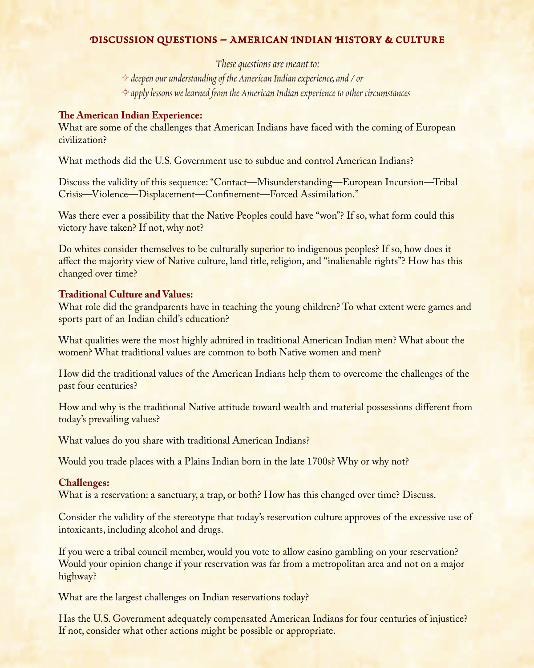# **DISCUSSION QUESTIONS – AMERICAN INDIAN HISTORY & CULTURE**

*These questions are meant to:*  K *deepen our understanding of the American Indian experience, and / or*  K *apply lessons we learned from the American Indian experience to other circumstances* 

### **The American Indian Experience:**

What are some of the challenges that American Indians have faced with the coming of European civilization?

What methods did the U.S. Government use to subdue and control American Indians?

Discuss the validity of this sequence: "Contact—Misunderstanding—European Incursion—Tribal Crisis—Violence—Displacement—Confinement—Forced Assimilation."

Was there ever a possibility that the Native Peoples could have "won"? If so, what form could this victory have taken? If not, why not?

Do whites consider themselves to be culturally superior to indigenous peoples? If so, how does it affect the majority view of Native culture, land title, religion, and "inalienable rights"? How has this changed over time?

#### **Traditional Culture and Values:**

What role did the grandparents have in teaching the young children? To what extent were games and sports part of an Indian child's education?

What qualities were the most highly admired in traditional American Indian men? What about the women? What traditional values are common to both Native women and men?

How did the traditional values of the American Indians help them to overcome the challenges of the past four centuries?

How and why is the traditional Native attitude toward wealth and material possessions different from today's prevailing values?

What values do you share with traditional American Indians?

Would you trade places with a Plains Indian born in the late 1700s? Why or why not?

# **Challenges:**

What is a reservation: a sanctuary, a trap, or both? How has this changed over time? Discuss.

Consider the validity of the stereotype that today's reservation culture approves of the excessive use of intoxicants, including alcohol and drugs.

If you were a tribal council member, would you vote to allow casino gambling on your reservation? Would your opinion change if your reservation was far from a metropolitan area and not on a major highway?

What are the largest challenges on Indian reservations today?

Has the U.S. Government adequately compensated American Indians for four centuries of injustice? If not, consider what other actions might be possible or appropriate.